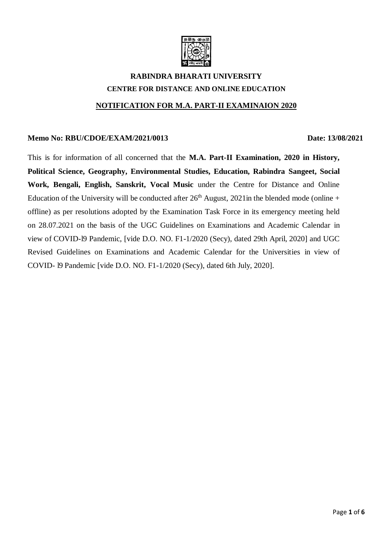

# **RABINDRA BHARATI UNIVERSITY CENTRE FOR DISTANCE AND ONLINE EDUCATION**

#### **NOTIFICATION FOR M.A. PART-II EXAMINAION 2020**

#### **Memo No: RBU/CDOE/EXAM/2021/0013 Date: 13/08/2021**

This is for information of all concerned that the **M.A. Part-II Examination, 2020 in History, Political Science, Geography, Environmental Studies, Education, Rabindra Sangeet, Social Work, Bengali, English, Sanskrit, Vocal Music** under the Centre for Distance and Online Education of the University will be conducted after  $26<sup>th</sup>$  August, 2021 in the blended mode (online + offline) as per resolutions adopted by the Examination Task Force in its emergency meeting held on 28.07.2021 on the basis of the UGC Guidelines on Examinations and Academic Calendar in view of COVID-l9 Pandemic, [vide D.O. NO. F1-1/2020 (Secy), dated 29th April, 2020] and UGC Revised Guidelines on Examinations and Academic Calendar for the Universities in view of COVID- l9 Pandemic [vide D.O. NO. F1-1/2020 (Secy), dated 6th July, 2020].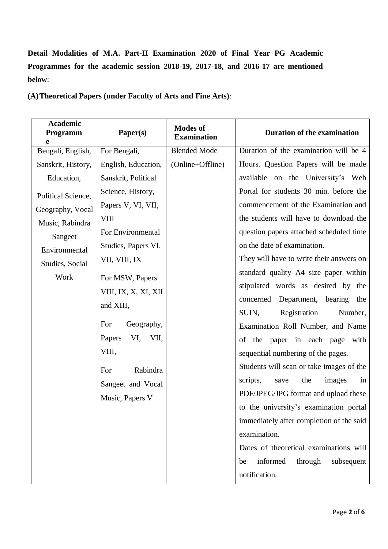# **Detail Modalities of M.A. Part-II Examination 2020 of Final Year PG Academic Programmes for the academic session 2018-19, 2017-18, and 2016-17 are mentioned below**:

**(A)Theoretical Papers (under Faculty of Arts and Fine Arts)**:

| <b>Academic</b><br>Programm<br>e                                                                                 | Paper(s)                                                                                                                                                                                                                                              | <b>Modes of</b><br><b>Examination</b> | <b>Duration of the examination</b>                                                                                                                                                                                                                                                                                                                                                                                                                                                                                                                             |
|------------------------------------------------------------------------------------------------------------------|-------------------------------------------------------------------------------------------------------------------------------------------------------------------------------------------------------------------------------------------------------|---------------------------------------|----------------------------------------------------------------------------------------------------------------------------------------------------------------------------------------------------------------------------------------------------------------------------------------------------------------------------------------------------------------------------------------------------------------------------------------------------------------------------------------------------------------------------------------------------------------|
| Bengali, English,                                                                                                | For Bengali,                                                                                                                                                                                                                                          | <b>Blended Mode</b>                   | Duration of the examination will be 4                                                                                                                                                                                                                                                                                                                                                                                                                                                                                                                          |
| Sanskrit, History,                                                                                               | English, Education,                                                                                                                                                                                                                                   | (Online+Offline)                      | Hours. Question Papers will be made                                                                                                                                                                                                                                                                                                                                                                                                                                                                                                                            |
| Education,                                                                                                       | Sanskrit, Political                                                                                                                                                                                                                                   |                                       | available on the University's Web                                                                                                                                                                                                                                                                                                                                                                                                                                                                                                                              |
| Political Science,<br>Geography, Vocal<br>Music, Rabindra<br>Sangeet<br>Environmental<br>Studies, Social<br>Work | Science, History,<br>Papers V, VI, VII,<br><b>VIII</b><br>For Environmental<br>Studies, Papers VI,<br>VII, VIII, IX<br>For MSW, Papers<br>VIII, IX, X, XI, XII<br>and XIII,<br>Geography,<br>For<br>Papers<br>VI,<br>VII,<br>VIII,<br>Rabindra<br>For |                                       | Portal for students 30 min. before the<br>commencement of the Examination and<br>the students will have to download the<br>question papers attached scheduled time<br>on the date of examination.<br>They will have to write their answers on<br>standard quality A4 size paper within<br>stipulated words as desired by the<br>concerned Department, bearing the<br>Registration<br>SUIN,<br>Number,<br>Examination Roll Number, and Name<br>of the paper in each page with<br>sequential numbering of the pages.<br>Students will scan or take images of the |
|                                                                                                                  | Sangeet and Vocal<br>Music, Papers V                                                                                                                                                                                                                  |                                       | scripts,<br>the<br>images<br>in<br>save<br>PDF/JPEG/JPG format and upload these                                                                                                                                                                                                                                                                                                                                                                                                                                                                                |
|                                                                                                                  |                                                                                                                                                                                                                                                       |                                       | to the university's examination portal                                                                                                                                                                                                                                                                                                                                                                                                                                                                                                                         |
|                                                                                                                  |                                                                                                                                                                                                                                                       |                                       | immediately after completion of the said                                                                                                                                                                                                                                                                                                                                                                                                                                                                                                                       |
|                                                                                                                  |                                                                                                                                                                                                                                                       |                                       | examination.                                                                                                                                                                                                                                                                                                                                                                                                                                                                                                                                                   |
|                                                                                                                  |                                                                                                                                                                                                                                                       |                                       | Dates of theoretical examinations will                                                                                                                                                                                                                                                                                                                                                                                                                                                                                                                         |
|                                                                                                                  |                                                                                                                                                                                                                                                       |                                       | informed<br>through<br>subsequent<br>be                                                                                                                                                                                                                                                                                                                                                                                                                                                                                                                        |
|                                                                                                                  |                                                                                                                                                                                                                                                       |                                       | notification.                                                                                                                                                                                                                                                                                                                                                                                                                                                                                                                                                  |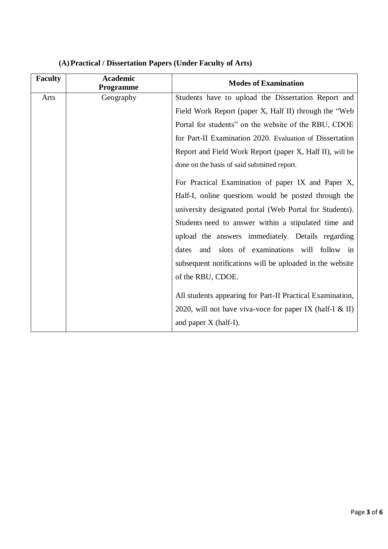| <b>Faculty</b> | <b>Academic</b><br><b>Programme</b> | <b>Modes of Examination</b>                                |
|----------------|-------------------------------------|------------------------------------------------------------|
| Arts           | Geography                           | Students have to upload the Dissertation Report and        |
|                |                                     | Field Work Report (paper X, Half II) through the "Web"     |
|                |                                     | Portal for students" on the website of the RBU, CDOE       |
|                |                                     | for Part-II Examination 2020. Evaluation of Dissertation   |
|                |                                     | Report and Field Work Report (paper X, Half II), will be   |
|                |                                     | done on the basis of said submitted report.                |
|                |                                     | For Practical Examination of paper IX and Paper X,         |
|                |                                     | Half-I, online questions would be posted through the       |
|                |                                     | university designated portal (Web Portal for Students).    |
|                |                                     | Students need to answer within a stipulated time and       |
|                |                                     | upload the answers immediately. Details regarding          |
|                |                                     | and slots of examinations will follow in<br>dates          |
|                |                                     | subsequent notifications will be uploaded in the website   |
|                |                                     | of the RBU, CDOE.                                          |
|                |                                     | All students appearing for Part-II Practical Examination,  |
|                |                                     | 2020, will not have viva-voce for paper IX (half-I $&$ II) |
|                |                                     | and paper X (half-I).                                      |
|                |                                     |                                                            |

# **(A)Practical / Dissertation Papers (Under Faculty of Arts)**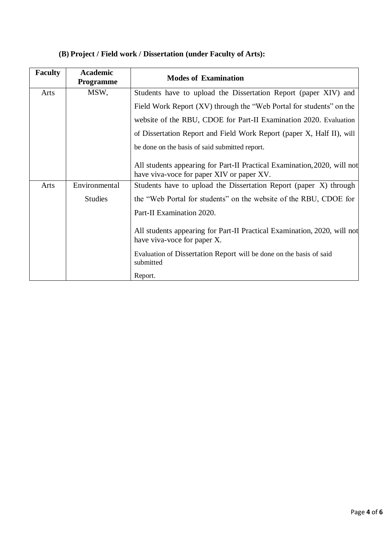| <b>Faculty</b> | <b>Academic</b><br><b>Programme</b> | <b>Modes of Examination</b>                                                                                           |  |
|----------------|-------------------------------------|-----------------------------------------------------------------------------------------------------------------------|--|
| MSW,<br>Arts   |                                     | Students have to upload the Dissertation Report (paper XIV) and                                                       |  |
|                |                                     | Field Work Report (XV) through the "Web Portal for students" on the                                                   |  |
|                |                                     | website of the RBU, CDOE for Part-II Examination 2020. Evaluation                                                     |  |
|                |                                     | of Dissertation Report and Field Work Report (paper X, Half II), will                                                 |  |
|                |                                     | be done on the basis of said submitted report.                                                                        |  |
|                |                                     | All students appearing for Part-II Practical Examination, 2020, will not<br>have viva-voce for paper XIV or paper XV. |  |
| Arts           | Environmental                       | Students have to upload the Dissertation Report (paper X) through                                                     |  |
|                | <b>Studies</b>                      | the "Web Portal for students" on the website of the RBU, CDOE for                                                     |  |
|                |                                     | Part-II Examination 2020.                                                                                             |  |
|                |                                     | All students appearing for Part-II Practical Examination, 2020, will not<br>have viva-voce for paper X.               |  |
|                |                                     | Evaluation of Dissertation Report will be done on the basis of said<br>submitted                                      |  |
|                |                                     | Report.                                                                                                               |  |

## **(B) Project / Field work / Dissertation (under Faculty of Arts):**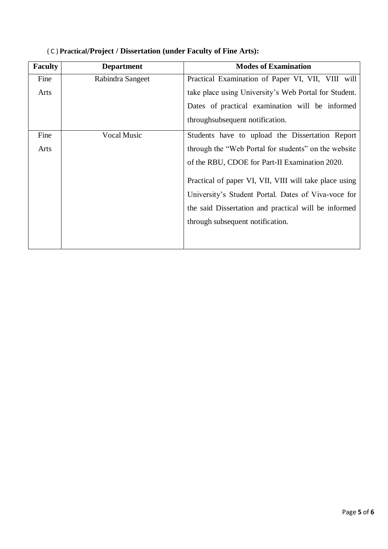| <b>Faculty</b> | <b>Department</b>  | <b>Modes of Examination</b>                            |
|----------------|--------------------|--------------------------------------------------------|
| Fine           | Rabindra Sangeet   | Practical Examination of Paper VI, VII, VIII will      |
| Arts           |                    | take place using University's Web Portal for Student.  |
|                |                    | Dates of practical examination will be informed        |
|                |                    | throughsubsequent notification.                        |
| Fine           | <b>Vocal Music</b> | Students have to upload the Dissertation Report        |
| Arts           |                    | through the "Web Portal for students" on the website   |
|                |                    | of the RBU, CDOE for Part-II Examination 2020.         |
|                |                    | Practical of paper VI, VII, VIII will take place using |
|                |                    | University's Student Portal. Dates of Viva-voce for    |
|                |                    | the said Dissertation and practical will be informed   |
|                |                    | through subsequent notification.                       |
|                |                    |                                                        |

## ( C ) **Practical**/**Project / Dissertation (under Faculty of Fine Arts):**